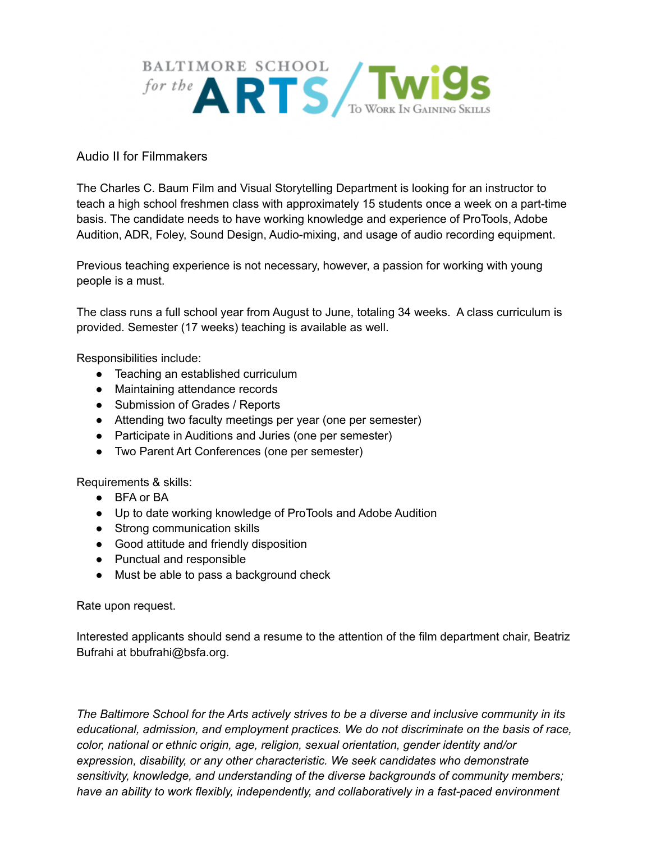

## Audio II for Filmmakers

The Charles C. Baum Film and Visual Storytelling Department is looking for an instructor to teach a high school freshmen class with approximately 15 students once a week on a part-time basis. The candidate needs to have working knowledge and experience of ProTools, Adobe Audition, ADR, Foley, Sound Design, Audio-mixing, and usage of audio recording equipment.

Previous teaching experience is not necessary, however, a passion for working with young people is a must.

The class runs a full school year from August to June, totaling 34 weeks. A class curriculum is provided. Semester (17 weeks) teaching is available as well.

Responsibilities include:

- Teaching an established curriculum
- Maintaining attendance records
- Submission of Grades / Reports
- Attending two faculty meetings per year (one per semester)
- Participate in Auditions and Juries (one per semester)
- Two Parent Art Conferences (one per semester)

Requirements & skills:

- BFA or BA
- Up to date working knowledge of ProTools and Adobe Audition
- Strong communication skills
- Good attitude and friendly disposition
- Punctual and responsible
- Must be able to pass a background check

Rate upon request.

Interested applicants should send a resume to the attention of the film department chair, Beatriz Bufrahi at bbufrahi@bsfa.org.

*The Baltimore School for the Arts actively strives to be a diverse and inclusive community in its educational, admission, and employment practices. We do not discriminate on the basis of race, color, national or ethnic origin, age, religion, sexual orientation, gender identity and/or expression, disability, or any other characteristic. We seek candidates who demonstrate sensitivity, knowledge, and understanding of the diverse backgrounds of community members; have an ability to work flexibly, independently, and collaboratively in a fast-paced environment*